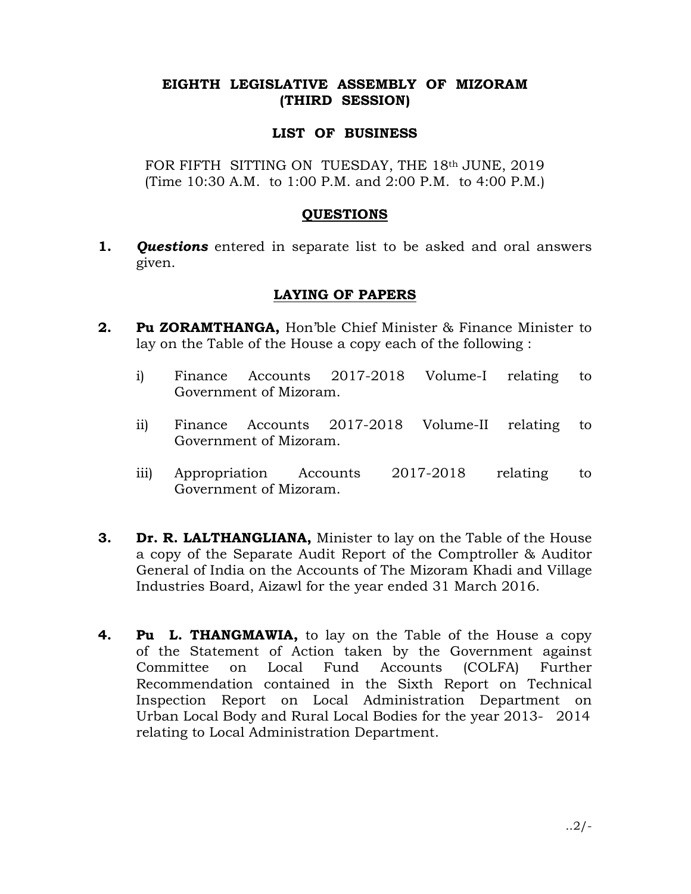## EIGHTH LEGISLATIVE ASSEMBLY OF MIZORAM (THIRD SESSION)

## LIST OF BUSINESS

FOR FIFTH SITTING ON TUESDAY, THE 18th JUNE, 2019 (Time 10:30 A.M. to 1:00 P.M. and 2:00 P.M. to 4:00 P.M.)

### **OUESTIONS**

**1. Questions** entered in separate list to be asked and oral answers given.

## LAYING OF PAPERS

- 2. Pu ZORAMTHANGA, Hon'ble Chief Minister & Finance Minister to lay on the Table of the House a copy each of the following :
	- i) Finance Accounts 2017-2018 Volume-I relating to Government of Mizoram.
	- ii) Finance Accounts 2017-2018 Volume-II relating to Government of Mizoram.
	- iii) Appropriation Accounts 2017-2018 relating to Government of Mizoram.
- **3.** Dr. R. LALTHANGLIANA, Minister to lay on the Table of the House a copy of the Separate Audit Report of the Comptroller & Auditor General of India on the Accounts of The Mizoram Khadi and Village Industries Board, Aizawl for the year ended 31 March 2016.
- 4. Pu L. THANGMAWIA, to lay on the Table of the House a copy of the Statement of Action taken by the Government against Committee on Local Fund Accounts (COLFA) Further Recommendation contained in the Sixth Report on Technical Inspection Report on Local Administration Department on Urban Local Body and Rural Local Bodies for the year 2013- 2014 relating to Local Administration Department.